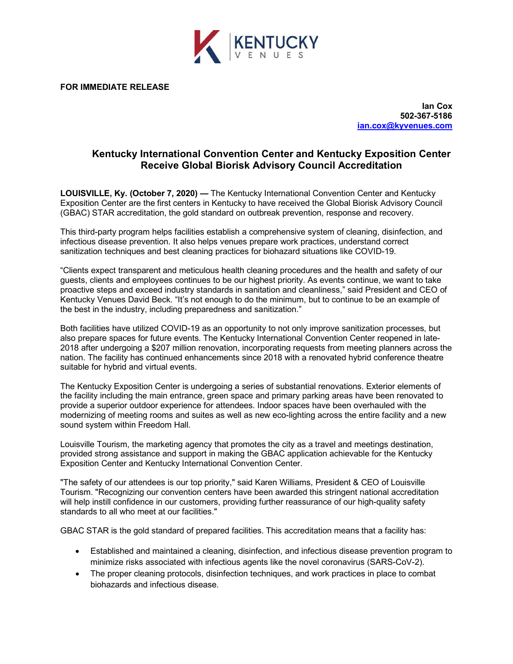

**FOR IMMEDIATE RELEASE**

**Ian Cox 502-367-5186 [ian.cox@kyvenues.com](mailto:Ian.Cox@Kyvenues.com)**

## **Kentucky International Convention Center and Kentucky Exposition Center Receive Global Biorisk Advisory Council Accreditation**

**LOUISVILLE, Ky. (October 7, 2020) —** The Kentucky International Convention Center and Kentucky Exposition Center are the first centers in Kentucky to have received the Global Biorisk Advisory Council (GBAC) STAR accreditation, the gold standard on outbreak prevention, response and recovery.

This third-party program helps facilities establish a comprehensive system of cleaning, disinfection, and infectious disease prevention. It also helps venues prepare work practices, understand correct sanitization techniques and best cleaning practices for biohazard situations like COVID-19.

"Clients expect transparent and meticulous health cleaning procedures and the health and safety of our guests, clients and employees continues to be our highest priority. As events continue, we want to take proactive steps and exceed industry standards in sanitation and cleanliness," said President and CEO of Kentucky Venues David Beck. "It's not enough to do the minimum, but to continue to be an example of the best in the industry, including preparedness and sanitization."

Both facilities have utilized COVID-19 as an opportunity to not only improve sanitization processes, but also prepare spaces for future events. The Kentucky International Convention Center reopened in late-2018 after undergoing a \$207 million renovation, incorporating requests from meeting planners across the nation. The facility has continued enhancements since 2018 with a renovated hybrid conference theatre suitable for hybrid and virtual events.

The Kentucky Exposition Center is undergoing a series of substantial renovations. Exterior elements of the facility including the main entrance, green space and primary parking areas have been renovated to provide a superior outdoor experience for attendees. Indoor spaces have been overhauled with the modernizing of meeting rooms and suites as well as new eco-lighting across the entire facility and a new sound system within Freedom Hall.

Louisville Tourism, the marketing agency that promotes the city as a travel and meetings destination, provided strong assistance and support in making the GBAC application achievable for the Kentucky Exposition Center and Kentucky International Convention Center.

"The safety of our attendees is our top priority," said Karen Williams, President & CEO of Louisville Tourism. "Recognizing our convention centers have been awarded this stringent national accreditation will help instill confidence in our customers, providing further reassurance of our high-quality safety standards to all who meet at our facilities."

GBAC STAR is the gold standard of prepared facilities. This accreditation means that a facility has:

- Established and maintained a cleaning, disinfection, and infectious disease prevention program to minimize risks associated with infectious agents like the novel coronavirus (SARS-CoV-2).
- The proper cleaning protocols, disinfection techniques, and work practices in place to combat biohazards and infectious disease.